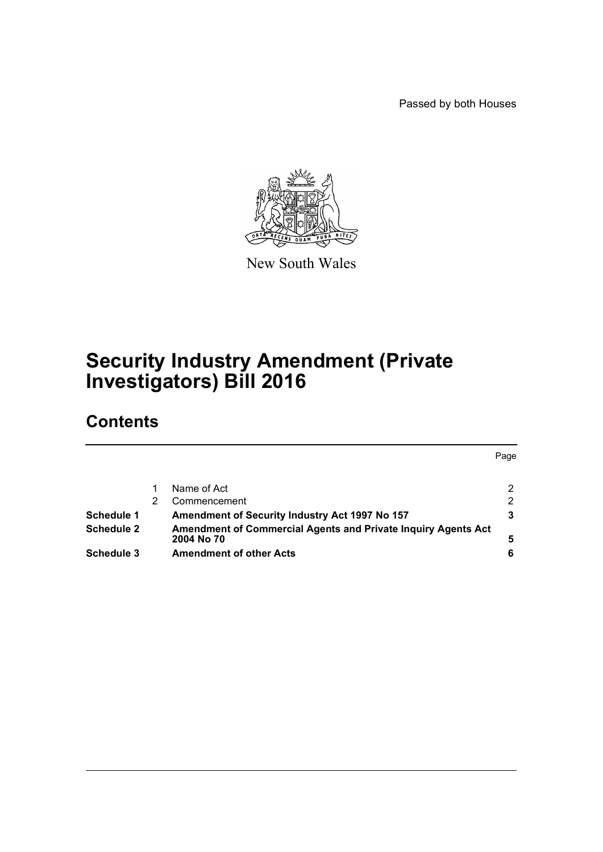Passed by both Houses

Page



New South Wales

# **Security Industry Amendment (Private Investigators) Bill 2016**

# **Contents**

|                                                               | <b>Page</b>           |
|---------------------------------------------------------------|-----------------------|
|                                                               |                       |
| Name of Act                                                   | $\mathbf{2}^{\prime}$ |
| Commencement                                                  | 2                     |
| Amendment of Security Industry Act 1997 No 157                |                       |
| Amendment of Commercial Agents and Private Inquiry Agents Act |                       |
| 2004 No 70                                                    | 5                     |
| <b>Amendment of other Acts</b>                                | 6                     |
|                                                               |                       |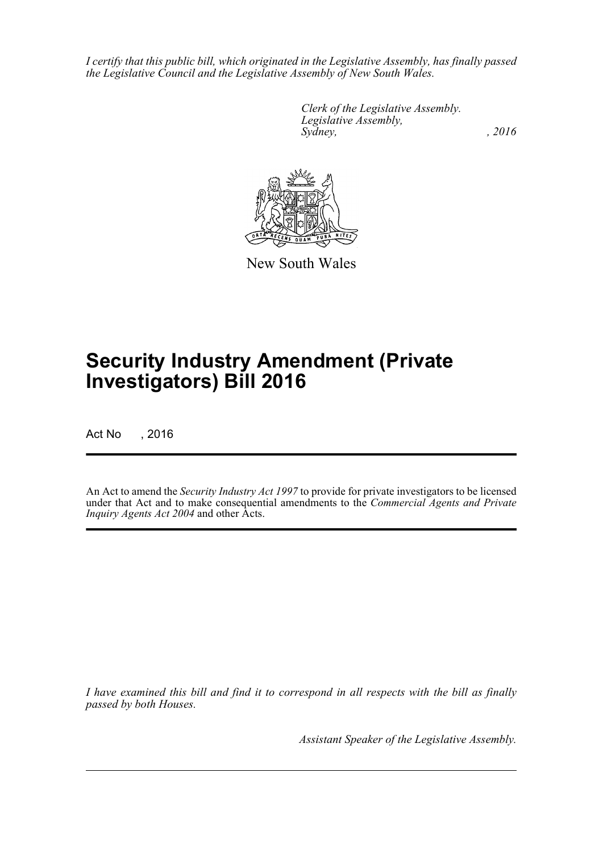*I certify that this public bill, which originated in the Legislative Assembly, has finally passed the Legislative Council and the Legislative Assembly of New South Wales.*

> *Clerk of the Legislative Assembly. Legislative Assembly, Sydney,* , 2016



New South Wales

# **Security Industry Amendment (Private Investigators) Bill 2016**

Act No , 2016

An Act to amend the *Security Industry Act 1997* to provide for private investigators to be licensed under that Act and to make consequential amendments to the *Commercial Agents and Private Inquiry Agents Act 2004* and other Acts.

*I have examined this bill and find it to correspond in all respects with the bill as finally passed by both Houses.*

*Assistant Speaker of the Legislative Assembly.*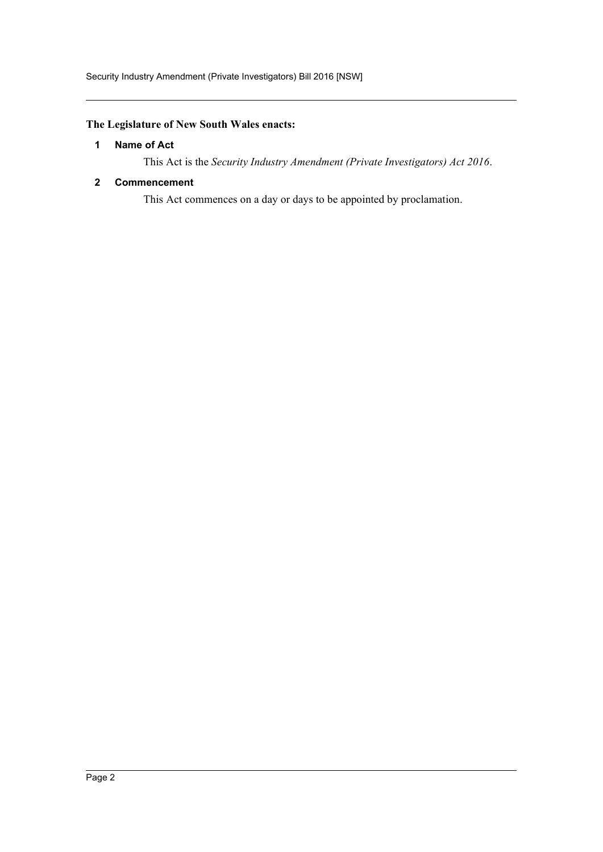#### <span id="page-2-0"></span>**The Legislature of New South Wales enacts:**

#### **1 Name of Act**

This Act is the *Security Industry Amendment (Private Investigators) Act 2016*.

#### <span id="page-2-1"></span>**2 Commencement**

This Act commences on a day or days to be appointed by proclamation.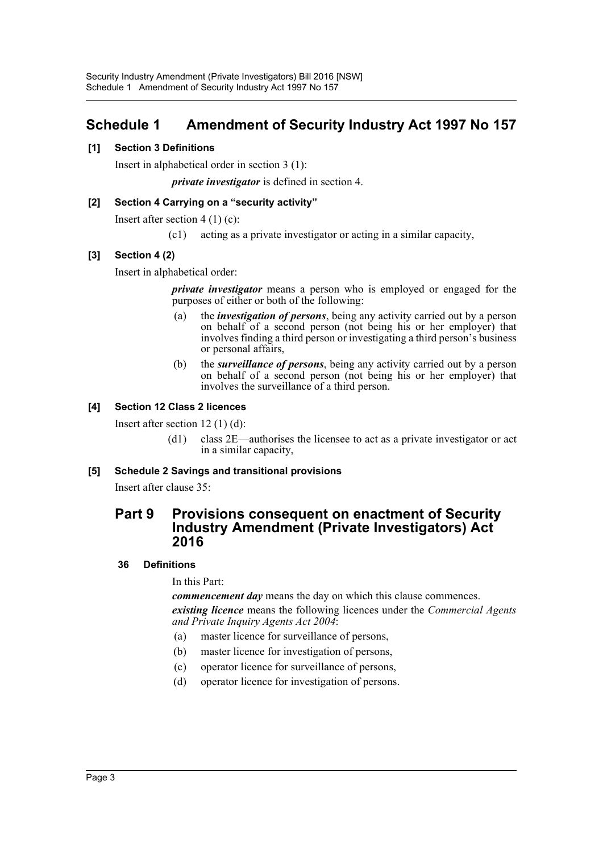# <span id="page-3-0"></span>**Schedule 1 Amendment of Security Industry Act 1997 No 157**

#### **[1] Section 3 Definitions**

Insert in alphabetical order in section 3 (1):

*private investigator* is defined in section 4.

#### **[2] Section 4 Carrying on a "security activity"**

Insert after section 4 (1) (c):

(c1) acting as a private investigator or acting in a similar capacity,

#### **[3] Section 4 (2)**

Insert in alphabetical order:

*private investigator* means a person who is employed or engaged for the purposes of either or both of the following:

- (a) the *investigation of persons*, being any activity carried out by a person on behalf of a second person (not being his or her employer) that involves finding a third person or investigating a third person's business or personal affairs,
- (b) the *surveillance of persons*, being any activity carried out by a person on behalf of a second person (not being his or her employer) that involves the surveillance of a third person.

#### **[4] Section 12 Class 2 licences**

Insert after section 12 (1) (d):

(d1) class 2E—authorises the licensee to act as a private investigator or act in a similar capacity,

#### **[5] Schedule 2 Savings and transitional provisions**

Insert after clause 35:

## **Part 9 Provisions consequent on enactment of Security Industry Amendment (Private Investigators) Act 2016**

#### **36 Definitions**

In this Part:

*commencement day* means the day on which this clause commences. *existing licence* means the following licences under the *Commercial Agents and Private Inquiry Agents Act 2004*:

- (a) master licence for surveillance of persons,
- (b) master licence for investigation of persons,
- (c) operator licence for surveillance of persons,
- (d) operator licence for investigation of persons.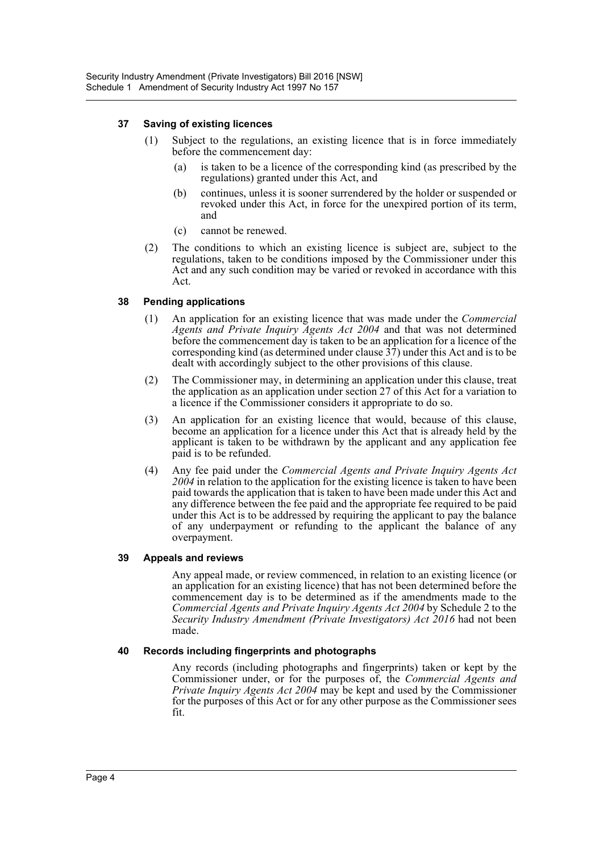#### **37 Saving of existing licences**

- (1) Subject to the regulations, an existing licence that is in force immediately before the commencement day:
	- (a) is taken to be a licence of the corresponding kind (as prescribed by the regulations) granted under this Act, and
	- (b) continues, unless it is sooner surrendered by the holder or suspended or revoked under this Act, in force for the unexpired portion of its term, and
	- (c) cannot be renewed.
- (2) The conditions to which an existing licence is subject are, subject to the regulations, taken to be conditions imposed by the Commissioner under this Act and any such condition may be varied or revoked in accordance with this Act.

#### **38 Pending applications**

- (1) An application for an existing licence that was made under the *Commercial Agents and Private Inquiry Agents Act 2004* and that was not determined before the commencement day is taken to be an application for a licence of the corresponding kind (as determined under clause  $3\overline{7}$ ) under this Act and is to be dealt with accordingly subject to the other provisions of this clause.
- (2) The Commissioner may, in determining an application under this clause, treat the application as an application under section 27 of this Act for a variation to a licence if the Commissioner considers it appropriate to do so.
- (3) An application for an existing licence that would, because of this clause, become an application for a licence under this Act that is already held by the applicant is taken to be withdrawn by the applicant and any application fee paid is to be refunded.
- (4) Any fee paid under the *Commercial Agents and Private Inquiry Agents Act 2004* in relation to the application for the existing licence is taken to have been paid towards the application that is taken to have been made under this Act and any difference between the fee paid and the appropriate fee required to be paid under this Act is to be addressed by requiring the applicant to pay the balance of any underpayment or refunding to the applicant the balance of any overpayment.

#### **39 Appeals and reviews**

Any appeal made, or review commenced, in relation to an existing licence (or an application for an existing licence) that has not been determined before the commencement day is to be determined as if the amendments made to the *Commercial Agents and Private Inquiry Agents Act 2004* by Schedule 2 to the *Security Industry Amendment (Private Investigators) Act 2016* had not been made.

#### **40 Records including fingerprints and photographs**

Any records (including photographs and fingerprints) taken or kept by the Commissioner under, or for the purposes of, the *Commercial Agents and Private Inquiry Agents Act 2004* may be kept and used by the Commissioner for the purposes of this Act or for any other purpose as the Commissioner sees fit.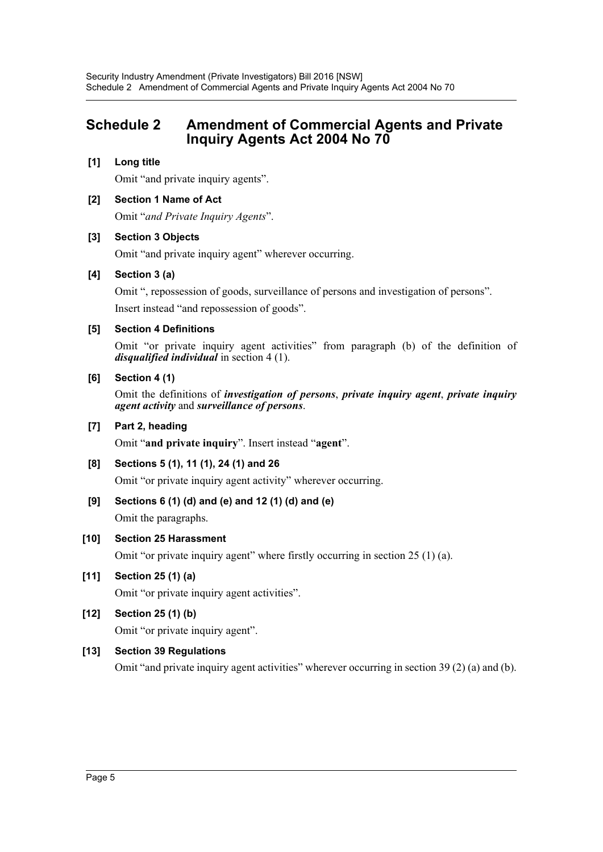# <span id="page-5-0"></span>**Schedule 2 Amendment of Commercial Agents and Private Inquiry Agents Act 2004 No 70**

## **[1] Long title**

Omit "and private inquiry agents".

#### **[2] Section 1 Name of Act**

Omit "*and Private Inquiry Agents*".

#### **[3] Section 3 Objects**

Omit "and private inquiry agent" wherever occurring.

#### **[4] Section 3 (a)**

Omit ", repossession of goods, surveillance of persons and investigation of persons". Insert instead "and repossession of goods".

#### **[5] Section 4 Definitions**

Omit "or private inquiry agent activities" from paragraph (b) of the definition of *disqualified individual* in section 4 (1).

#### **[6] Section 4 (1)**

Omit the definitions of *investigation of persons*, *private inquiry agent*, *private inquiry agent activity* and *surveillance of persons*.

#### **[7] Part 2, heading**

Omit "**and private inquiry**". Insert instead "**agent**".

#### **[8] Sections 5 (1), 11 (1), 24 (1) and 26**

Omit "or private inquiry agent activity" wherever occurring.

#### **[9] Sections 6 (1) (d) and (e) and 12 (1) (d) and (e)**

Omit the paragraphs.

#### **[10] Section 25 Harassment**

Omit "or private inquiry agent" where firstly occurring in section 25 (1) (a).

#### **[11] Section 25 (1) (a)**

Omit "or private inquiry agent activities".

#### **[12] Section 25 (1) (b)**

Omit "or private inquiry agent".

#### **[13] Section 39 Regulations**

Omit "and private inquiry agent activities" wherever occurring in section 39 (2) (a) and (b).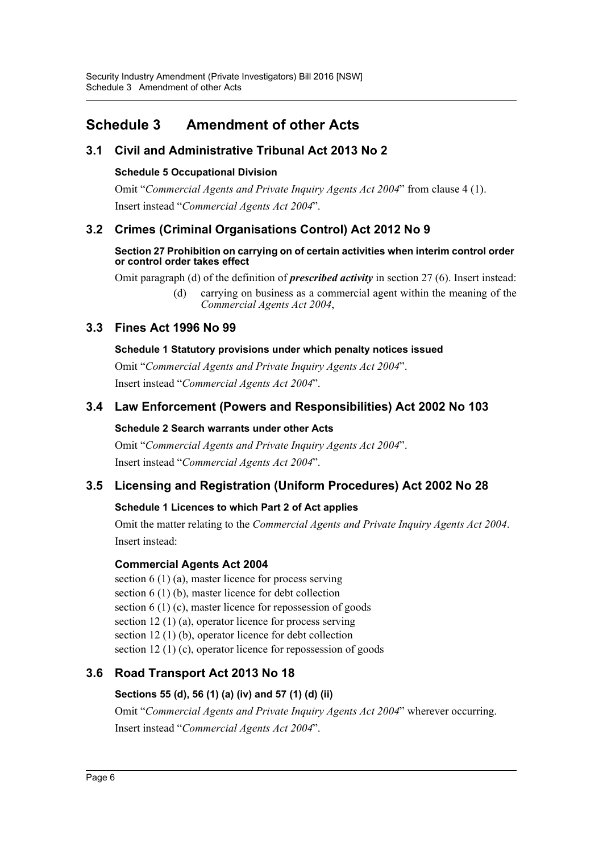# <span id="page-6-0"></span>**Schedule 3 Amendment of other Acts**

## **3.1 Civil and Administrative Tribunal Act 2013 No 2**

## **Schedule 5 Occupational Division**

Omit "*Commercial Agents and Private Inquiry Agents Act 2004*" from clause 4 (1). Insert instead "*Commercial Agents Act 2004*".

# **3.2 Crimes (Criminal Organisations Control) Act 2012 No 9**

#### **Section 27 Prohibition on carrying on of certain activities when interim control order or control order takes effect**

Omit paragraph (d) of the definition of *prescribed activity* in section 27 (6). Insert instead:

(d) carrying on business as a commercial agent within the meaning of the *Commercial Agents Act 2004*,

## **3.3 Fines Act 1996 No 99**

## **Schedule 1 Statutory provisions under which penalty notices issued**

Omit "*Commercial Agents and Private Inquiry Agents Act 2004*". Insert instead "*Commercial Agents Act 2004*".

## **3.4 Law Enforcement (Powers and Responsibilities) Act 2002 No 103**

## **Schedule 2 Search warrants under other Acts**

Omit "*Commercial Agents and Private Inquiry Agents Act 2004*". Insert instead "*Commercial Agents Act 2004*".

# **3.5 Licensing and Registration (Uniform Procedures) Act 2002 No 28**

## **Schedule 1 Licences to which Part 2 of Act applies**

Omit the matter relating to the *Commercial Agents and Private Inquiry Agents Act 2004*. Insert instead:

## **Commercial Agents Act 2004**

section 6 (1) (a), master licence for process serving section 6 (1) (b), master licence for debt collection section 6 (1) (c), master licence for repossession of goods section 12 (1) (a), operator licence for process serving section 12 (1) (b), operator licence for debt collection section 12 (1) (c), operator licence for repossession of goods

# **3.6 Road Transport Act 2013 No 18**

## **Sections 55 (d), 56 (1) (a) (iv) and 57 (1) (d) (ii)**

Omit "*Commercial Agents and Private Inquiry Agents Act 2004*" wherever occurring. Insert instead "*Commercial Agents Act 2004*".